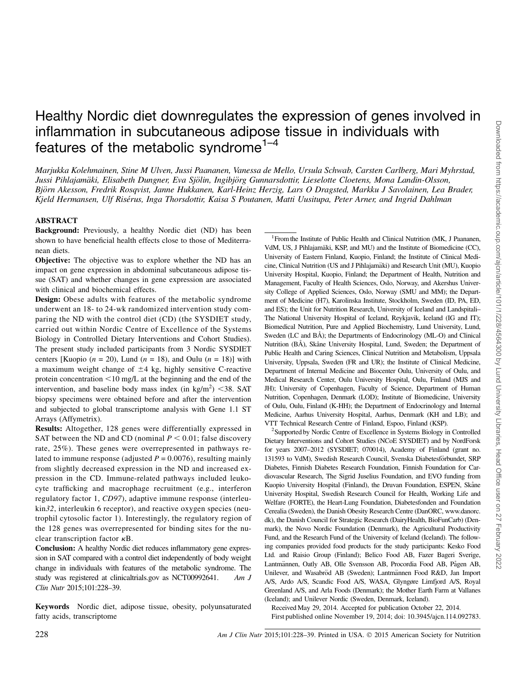# Healthy Nordic diet downregulates the expression of genes involved in inflammation in subcutaneous adipose tissue in individuals with features of the metabolic syndrome $1-4$

Marjukka Kolehmainen, Stine M Ulven, Jussi Paananen, Vanessa de Mello, Ursula Schwab, Carsten Carlberg, Mari Myhrstad, Jussi Pihlajamäki, Elisabeth Dungner, Eva Sjölin, Ingibjörg Gunnarsdottir, Lieselotte Cloetens, Mona Landin-Olsson, Björn Akesson, Fredrik Rosqvist, Janne Hukkanen, Karl-Heinz Herzig, Lars O Dragsted, Markku J Savolainen, Lea Brader, Kjeld Hermansen, Ulf Risérus, Inga Thorsdottir, Kaisa S Poutanen, Matti Uusitupa, Peter Arner, and Ingrid Dahlman

## ABSTRACT

Background: Previously, a healthy Nordic diet (ND) has been shown to have beneficial health effects close to those of Mediterranean diets.

Objective: The objective was to explore whether the ND has an impact on gene expression in abdominal subcutaneous adipose tissue (SAT) and whether changes in gene expression are associated with clinical and biochemical effects.

Design: Obese adults with features of the metabolic syndrome underwent an 18- to 24-wk randomized intervention study comparing the ND with the control diet (CD) (the SYSDIET study, carried out within Nordic Centre of Excellence of the Systems Biology in Controlled Dietary Interventions and Cohort Studies). The present study included participants from 3 Nordic SYSDIET centers [Kuopio ( $n = 20$ ), Lund ( $n = 18$ ), and Oulu ( $n = 18$ )] with a maximum weight change of  $\pm 4$  kg, highly sensitive C-reactive protein concentration  $\leq 10$  mg/L at the beginning and the end of the intervention, and baseline body mass index (in kg/m<sup>2</sup>) <38. SAT biopsy specimens were obtained before and after the intervention and subjected to global transcriptome analysis with Gene 1.1 ST Arrays (Affymetrix).

Results: Altogether, 128 genes were differentially expressed in SAT between the ND and CD (nominal  $P < 0.01$ ; false discovery rate, 25%). These genes were overrepresented in pathways related to immune response (adjusted  $P = 0.0076$ ), resulting mainly from slightly decreased expression in the ND and increased expression in the CD. Immune-related pathways included leukocyte trafficking and macrophage recruitment (e.g., interferon regulatory factor 1, CD97), adaptive immune response (interleukin32, interleukin 6 receptor), and reactive oxygen species (neutrophil cytosolic factor 1). Interestingly, the regulatory region of the 128 genes was overrepresented for binding sites for the nuclear transcription factor  $\kappa$ B.

Conclusion: A healthy Nordic diet reduces inflammatory gene expression in SAT compared with a control diet independently of body weight change in individuals with features of the metabolic syndrome. The study was registered at clinicaltrials.gov as NCT00992641. Am J Clin Nutr 2015;101:228–39.

Keywords Nordic diet, adipose tissue, obesity, polyunsaturated fatty acids, transcriptome

<sup>1</sup> From the Institute of Public Health and Clinical Nutrition (MK, J Paananen, VdM, US, J Pihlajamäki, KSP, and MU) and the Institute of Biomedicine (CC), University of Eastern Finland, Kuopio, Finland; the Institute of Clinical Medicine, Clinical Nutrition (US and J Pihlajamäki) and Research Unit (MU), Kuopio University Hospital, Kuopio, Finland; the Department of Health, Nutrition and Management, Faculty of Health Sciences, Oslo, Norway, and Akershus University College of Applied Sciences, Oslo, Norway (SMU and MM); the Department of Medicine (H7), Karolinska Institute, Stockholm, Sweden (ID, PA, ED, and ES); the Unit for Nutrition Research, University of Iceland and Landspitali– The National University Hospital of Iceland, Reykjavik, Iceland (IG and IT); Biomedical Nutrition, Pure and Applied Biochemistry, Lund University, Lund, Sweden (LC and BA); the Departments of Endocrinology (ML-O) and Clinical Nutrition (BÅ), Skåne University Hospital, Lund, Sweden; the Department of Public Health and Caring Sciences, Clinical Nutrition and Metabolism, Uppsala University, Uppsala, Sweden (FR and UR); the Institute of Clinical Medicine, Department of Internal Medicine and Biocenter Oulu, University of Oulu, and Medical Research Center, Oulu University Hospital, Oulu, Finland (MJS and JH); University of Copenhagen, Faculty of Science, Department of Human Nutrition, Copenhagen, Denmark (LOD); Institute of Biomedicine, University of Oulu, Oulu, Finland (K-HH); the Department of Endocrinology and Internal Medicine, Aarhus University Hospital, Aarhus, Denmark (KH and LB); and VTT Technical Research Centre of Finland, Espoo, Finland (KSP). <sup>2</sup>

<sup>2</sup>Supported by Nordic Centre of Excellence in Systems Biology in Controlled Dietary Interventions and Cohort Studies (NCoE SYSDIET) and by NordForsk for years 2007–2012 (SYSDIET; 070014), Academy of Finland (grant no. 131593 to VdM), Swedish Research Council, Svenska Diabetesförbundet, SRP Diabetes, Finnish Diabetes Research Foundation, Finnish Foundation for Cardiovascular Research, The Sigrid Juselius Foundation, and EVO funding from Kuopio University Hospital (Finland), the Druvan Foundation, ESPEN, Skåne University Hospital, Swedish Research Council for Health, Working Life and Welfare (FORTE), the Heart-Lung Foundation, Diabetesfonden and Foundation Cerealia (Sweden), the Danish Obesity Research Centre (DanORC, www.danorc. dk), the Danish Council for Strategic Research (DairyHealth, BioFunCarb) (Denmark), the Novo Nordic Foundation (Denmark), the Agricultural Productivity Fund, and the Research Fund of the University of Iceland (Iceland). The following companies provided food products for the study participants: Kesko Food Ltd. and Raisio Group (Finland); Belico Food AB, Fazer Bageri Sverige, Lantmännen, Oatly AB, Olle Svensson AB, Procordia Food AB, Pågen AB, Unilever, and Wasabröd AB (Sweden); Lantmännen Food R&D, Jan Import A/S, Ardo A/S, Scandic Food A/S, WASA, Glyngøre Limfjord A/S, Royal Greenland A/S, and Arla Foods (Denmark); the Mother Earth Farm at Vallanes (Iceland); and Unilever Nordic (Sweden, Denmark, Iceland).

Received May 29, 2014. Accepted for publication October 22, 2014. First published online November 19, 2014; doi: 10.3945/ajcn.114.092783.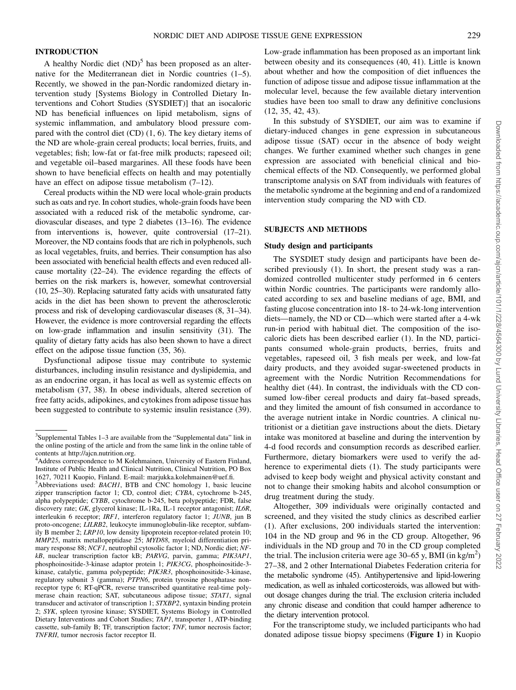## INTRODUCTION

A healthy Nordic diet  $(ND)^5$  has been proposed as an alternative for the Mediterranean diet in Nordic countries (1–5). Recently, we showed in the pan-Nordic randomized dietary intervention study [Systems Biology in Controlled Dietary Interventions and Cohort Studies (SYSDIET)] that an isocaloric ND has beneficial influences on lipid metabolism, signs of systemic inflammation, and ambulatory blood pressure compared with the control diet (CD) (1, 6). The key dietary items of the ND are whole-grain cereal products; local berries, fruits, and vegetables; fish; low-fat or fat-free milk products; rapeseed oil; and vegetable oil–based margarines. All these foods have been shown to have beneficial effects on health and may potentially have an effect on adipose tissue metabolism  $(7-12)$ .

Cereal products within the ND were local whole-grain products such as oats and rye. In cohort studies, whole-grain foods have been associated with a reduced risk of the metabolic syndrome, cardiovascular diseases, and type 2 diabetes (13–16). The evidence from interventions is, however, quite controversial (17–21). Moreover, the ND contains foods that are rich in polyphenols, such as local vegetables, fruits, and berries. Their consumption has also been associated with beneficial health effects and even reduced allcause mortality (22–24). The evidence regarding the effects of berries on the risk markers is, however, somewhat controversial (10, 25–30). Replacing saturated fatty acids with unsaturated fatty acids in the diet has been shown to prevent the atherosclerotic process and risk of developing cardiovascular diseases (8, 31–34). However, the evidence is more controversial regarding the effects on low-grade inflammation and insulin sensitivity (31). The quality of dietary fatty acids has also been shown to have a direct effect on the adipose tissue function (35, 36).

Dysfunctional adipose tissue may contribute to systemic disturbances, including insulin resistance and dyslipidemia, and as an endocrine organ, it has local as well as systemic effects on metabolism (37, 38). In obese individuals, altered secretion of free fatty acids, adipokines, and cytokines from adipose tissue has been suggested to contribute to systemic insulin resistance (39).

Low-grade inflammation has been proposed as an important link between obesity and its consequences (40, 41). Little is known about whether and how the composition of diet influences the function of adipose tissue and adipose tissue inflammation at the molecular level, because the few available dietary intervention studies have been too small to draw any definitive conclusions (12, 35, 42, 43).

In this substudy of SYSDIET, our aim was to examine if dietary-induced changes in gene expression in subcutaneous adipose tissue (SAT) occur in the absence of body weight changes. We further examined whether such changes in gene expression are associated with beneficial clinical and biochemical effects of the ND. Consequently, we performed global transcriptome analysis on SAT from individuals with features of the metabolic syndrome at the beginning and end of a randomized intervention study comparing the ND with CD.

## SUBJECTS AND METHODS

#### Study design and participants

The SYSDIET study design and participants have been described previously (1). In short, the present study was a randomized controlled multicenter study performed in 6 centers within Nordic countries. The participants were randomly allocated according to sex and baseline medians of age, BMI, and fasting glucose concentration into 18- to 24-wk-long intervention diets—namely, the ND or CD—which were started after a 4-wk run-in period with habitual diet. The composition of the isocaloric diets has been described earlier (1). In the ND, participants consumed whole-grain products, berries, fruits and vegetables, rapeseed oil, 3 fish meals per week, and low-fat dairy products, and they avoided sugar-sweetened products in agreement with the Nordic Nutrition Recommendations for healthy diet (44). In contrast, the individuals with the CD consumed low-fiber cereal products and dairy fat–based spreads, and they limited the amount of fish consumed in accordance to the average nutrient intake in Nordic countries. A clinical nutritionist or a dietitian gave instructions about the diets. Dietary intake was monitored at baseline and during the intervention by 4-d food records and consumption records as described earlier. Furthermore, dietary biomarkers were used to verify the adherence to experimental diets (1). The study participants were advised to keep body weight and physical activity constant and not to change their smoking habits and alcohol consumption or drug treatment during the study.

Altogether, 309 individuals were originally contacted and screened, and they visited the study clinics as described earlier (1). After exclusions, 200 individuals started the intervention: 104 in the ND group and 96 in the CD group. Altogether, 96 individuals in the ND group and 70 in the CD group completed the trial. The inclusion criteria were age 30–65 y, BMI (in kg/m<sup>2</sup>) 27–38, and 2 other International Diabetes Federation criteria for the metabolic syndrome (45). Antihypertensive and lipid-lowering medication, as well as inhaled corticosteroids, was allowed but without dosage changes during the trial. The exclusion criteria included any chronic disease and condition that could hamper adherence to the dietary intervention protocol.

For the transcriptome study, we included participants who had donated adipose tissue biopsy specimens (Figure 1) in Kuopio

<sup>&</sup>lt;sup>3</sup>Supplemental Tables 1-3 are available from the "Supplemental data" link in the online posting of the article and from the same link in the online table of contents at http://ajcn.nutrition.org.

<sup>4</sup> Address correspondence to M Kolehmainen, University of Eastern Finland, Institute of Public Health and Clinical Nutrition, Clinical Nutrition, PO Box 1627, 70211 Kuopio, Finland. E-mail: marjukka.kolehmainen@uef.fi.

 $5$ Abbreviations used: BACH1, BTB and CNC homology 1, basic leucine zipper transcription factor 1; CD, control diet; CYBA, cytochrome b-245, alpha polypeptide; CYBB, cytochrome b-245, beta polypeptide; FDR, false discovery rate; GK, glycerol kinase; IL-1Ra, IL-1 receptor antagonist; IL6R, interleukin 6 receptor; IRF1, interferon regulatory factor 1; JUNB, jun B proto-oncogene; LILRB2, leukocyte immunoglobulin-like receptor, subfamily B member 2; LRP10, low density lipoprotein receptor-related protein 10; MMP25, matrix metallopeptidase 25; MYD88, myeloid differentiation primary response 88; NCF1, neutrophil cytosolic factor 1; ND, Nordic diet; NFkB, nuclear transcription factor kB; PARVG, parvin, gamma; PIK3AP1, phosphoinositide-3-kinase adaptor protein 1; PIK3CG, phosphoinositide-3 kinase, catalytic, gamma polypeptide; PIK3R3, phosphoinositide-3-kinase, regulatory subunit 3 (gamma); PTPN6, protein tyrosine phosphatase nonreceptor type 6; RT-qPCR, reverse transcribed quantitative real-time polymerase chain reaction; SAT, subcutaneous adipose tissue; STAT1, signal transducer and activator of transcription 1; STXBP2, syntaxin binding protein 2; SYK, spleen tyrosine kinase; SYSDIET, Systems Biology in Controlled Dietary Interventions and Cohort Studies; TAP1, transporter 1, ATP-binding cassette, sub-family B; TF, transcription factor; TNF, tumor necrosis factor; TNFRII, tumor necrosis factor receptor II.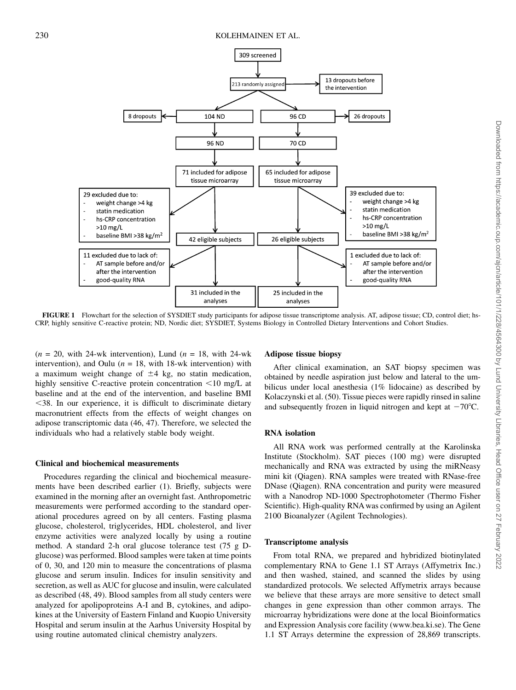

FIGURE 1 Flowchart for the selection of SYSDIET study participants for adipose tissue transcriptome analysis. AT, adipose tissue; CD, control diet; hs-CRP, highly sensitive C-reactive protein; ND, Nordic diet; SYSDIET, Systems Biology in Controlled Dietary Interventions and Cohort Studies.

 $(n = 20, \text{ with } 24\text{-wk}$  intervention), Lund  $(n = 18, \text{ with } 24\text{-wk}$ intervention), and Oulu ( $n = 18$ , with 18-wk intervention) with a maximum weight change of  $\pm 4$  kg, no statin medication, highly sensitive C-reactive protein concentration  $\leq 10$  mg/L at baseline and at the end of the intervention, and baseline BMI  $\leq$ 38. In our experience, it is difficult to discriminate dietary macronutrient effects from the effects of weight changes on adipose transcriptomic data (46, 47). Therefore, we selected the individuals who had a relatively stable body weight.

## Clinical and biochemical measurements

Procedures regarding the clinical and biochemical measurements have been described earlier (1). Briefly, subjects were examined in the morning after an overnight fast. Anthropometric measurements were performed according to the standard operational procedures agreed on by all centers. Fasting plasma glucose, cholesterol, triglycerides, HDL cholesterol, and liver enzyme activities were analyzed locally by using a routine method. A standard 2-h oral glucose tolerance test (75 g Dglucose) was performed. Blood samples were taken at time points of 0, 30, and 120 min to measure the concentrations of plasma glucose and serum insulin. Indices for insulin sensitivity and secretion, as well as AUC for glucose and insulin, were calculated as described (48, 49). Blood samples from all study centers were analyzed for apolipoproteins A-I and B, cytokines, and adipokines at the University of Eastern Finland and Kuopio University Hospital and serum insulin at the Aarhus University Hospital by using routine automated clinical chemistry analyzers.

## Adipose tissue biopsy

After clinical examination, an SAT biopsy specimen was obtained by needle aspiration just below and lateral to the umbilicus under local anesthesia (1% lidocaine) as described by Kolaczynski et al. (50). Tissue pieces were rapidly rinsed in saline and subsequently frozen in liquid nitrogen and kept at  $-70^{\circ}$ C.

## RNA isolation

All RNA work was performed centrally at the Karolinska Institute (Stockholm). SAT pieces (100 mg) were disrupted mechanically and RNA was extracted by using the miRNeasy mini kit (Qiagen). RNA samples were treated with RNase-free DNase (Qiagen). RNA concentration and purity were measured with a Nanodrop ND-1000 Spectrophotometer (Thermo Fisher Scientific). High-quality RNA was confirmed by using an Agilent 2100 Bioanalyzer (Agilent Technologies).

#### Transcriptome analysis

From total RNA, we prepared and hybridized biotinylated complementary RNA to Gene 1.1 ST Arrays (Affymetrix Inc.) and then washed, stained, and scanned the slides by using standardized protocols. We selected Affymetrix arrays because we believe that these arrays are more sensitive to detect small changes in gene expression than other common arrays. The microarray hybridizations were done at the local Bioinformatics and Expression Analysis core facility (www.bea.ki.se). The Gene 1.1 ST Arrays determine the expression of 28,869 transcripts.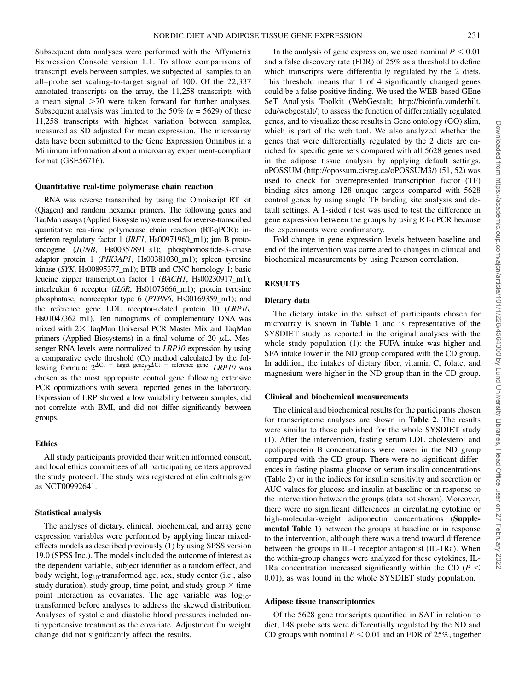Subsequent data analyses were performed with the Affymetrix Expression Console version 1.1. To allow comparisons of transcript levels between samples, we subjected all samples to an all–probe set scaling-to-target signal of 100. Of the 22,337 annotated transcripts on the array, the 11,258 transcripts with a mean signal  $>70$  were taken forward for further analyses. Subsequent analysis was limited to the 50% ( $n = 5629$ ) of these 11,258 transcripts with highest variation between samples, measured as SD adjusted for mean expression. The microarray data have been submitted to the Gene Expression Omnibus in a Minimum information about a microarray experiment-compliant format (GSE56716).

#### Quantitative real-time polymerase chain reaction

RNA was reverse transcribed by using the Omniscript RT kit (Qiagen) and random hexamer primers. The following genes and TaqMan assays (Applied Biosystems) were used for reverse-transcribed quantitative real-time polymerase chain reaction (RT-qPCR): interferon regulatory factor 1 (IRF1, Hs00971960\_m1); jun B protooncogene (JUNB, Hs00357891\_s1); phosphoinositide-3-kinase adaptor protein 1 (PIK3AP1, Hs00381030\_m1); spleen tyrosine kinase (SYK, Hs00895377\_m1); BTB and CNC homology 1; basic leucine zipper transcription factor 1 (BACH1, Hs00230917\_m1); interleukin 6 receptor (*IL6R*, Hs01075666\_m1); protein tyrosine phosphatase, nonreceptor type 6 (PTPN6, Hs00169359\_m1); and the reference gene LDL receptor-related protein 10 (LRP10, Hs01047362\_m1). Ten nanograms of complementary DNA was mixed with  $2 \times$  TaqMan Universal PCR Master Mix and TaqMan primers (Applied Biosystems) in a final volume of 20  $\mu$ L. Messenger RNA levels were normalized to *LRP10* expression by using a comparative cycle threshold (Ct) method calculated by the following formula:  $2^{ACt}$  – target gene $/2^{ACt}$  – reference gene. LRP10 was chosen as the most appropriate control gene following extensive PCR optimizations with several reported genes in the laboratory. Expression of LRP showed a low variability between samples, did not correlate with BMI, and did not differ significantly between groups.

#### Ethics

All study participants provided their written informed consent, and local ethics committees of all participating centers approved the study protocol. The study was registered at clinicaltrials.gov as NCT00992641.

## Statistical analysis

The analyses of dietary, clinical, biochemical, and array gene expression variables were performed by applying linear mixedeffects models as described previously (1) by using SPSS version 19.0 (SPSS Inc.). The models included the outcome of interest as the dependent variable, subject identifier as a random effect, and body weight, log<sub>10</sub>-transformed age, sex, study center (i.e., also study duration), study group, time point, and study group  $\times$  time point interaction as covariates. The age variable was  $log_{10}$ transformed before analyses to address the skewed distribution. Analyses of systolic and diastolic blood pressures included antihypertensive treatment as the covariate. Adjustment for weight change did not significantly affect the results.

In the analysis of gene expression, we used nominal  $P < 0.01$ and a false discovery rate (FDR) of 25% as a threshold to define which transcripts were differentially regulated by the 2 diets. This threshold means that 1 of 4 significantly changed genes could be a false-positive finding. We used the WEB-based GEne SeT AnaLysis Toolkit (WebGestalt; http://bioinfo.vanderbilt. edu/webgestalt/) to assess the function of differentially regulated genes, and to visualize these results in Gene ontology (GO) slim, which is part of the web tool. We also analyzed whether the genes that were differentially regulated by the 2 diets are enriched for specific gene sets compared with all 5628 genes used in the adipose tissue analysis by applying default settings. oPOSSUM (http://opossum.cisreg.ca/oPOSSUM3/) (51, 52) was used to check for overrepresented transcription factor (TF) binding sites among 128 unique targets compared with 5628 control genes by using single TF binding site analysis and default settings. A 1-sided  $t$  test was used to test the difference in gene expression between the groups by using RT-qPCR because the experiments were confirmatory.

Fold change in gene expression levels between baseline and end of the intervention was correlated to changes in clinical and biochemical measurements by using Pearson correlation.

## RESULTS

## Dietary data

The dietary intake in the subset of participants chosen for microarray is shown in Table 1 and is representative of the SYSDIET study as reported in the original analyses with the whole study population (1): the PUFA intake was higher and SFA intake lower in the ND group compared with the CD group. In addition, the intakes of dietary fiber, vitamin C, folate, and magnesium were higher in the ND group than in the CD group.

## Clinical and biochemical measurements

The clinical and biochemical results for the participants chosen for transcriptome analyses are shown in Table 2. The results were similar to those published for the whole SYSDIET study (1). After the intervention, fasting serum LDL cholesterol and apolipoprotein B concentrations were lower in the ND group compared with the CD group. There were no significant differences in fasting plasma glucose or serum insulin concentrations (Table 2) or in the indices for insulin sensitivity and secretion or AUC values for glucose and insulin at baseline or in response to the intervention between the groups (data not shown). Moreover, there were no significant differences in circulating cytokine or high-molecular-weight adiponectin concentrations (Supplemental Table 1) between the groups at baseline or in response to the intervention, although there was a trend toward difference between the groups in IL-1 receptor antagonist (IL-1Ra). When the within-group changes were analyzed for these cytokines, IL-1Ra concentration increased significantly within the CD  $(P \leq$ 0.01), as was found in the whole SYSDIET study population.

#### Adipose tissue transcriptomics

Of the 5628 gene transcripts quantified in SAT in relation to diet, 148 probe sets were differentially regulated by the ND and CD groups with nominal  $P \le 0.01$  and an FDR of 25%, together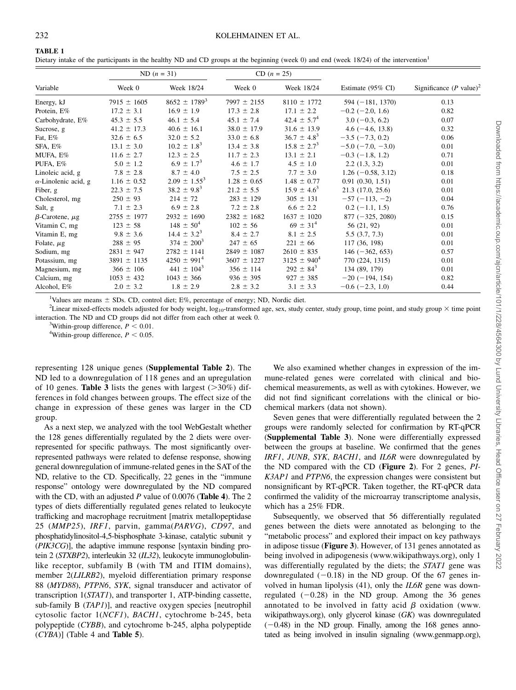| TABLE |  |  |
|-------|--|--|
|       |  |  |

Dietary intake of the participants in the healthy ND and CD groups at the beginning (week 0) and end (week 18/24) of the intervention<sup>1</sup>

|                             | $ND (n = 31)$   |                    | $CD (n = 25)$   |                    |                            |                                       |  |
|-----------------------------|-----------------|--------------------|-----------------|--------------------|----------------------------|---------------------------------------|--|
| Variable                    | Week 0          | Week 18/24         | Week 0          | Week 18/24         | Estimate (95% CI)          | Significance $(P$ value) <sup>2</sup> |  |
| Energy, kJ                  | $7915 \pm 1605$ | $8652 \pm 1789^3$  | $7997 \pm 2155$ | $8110 \pm 1772$    | $594 (-181, 1370)$         | 0.13                                  |  |
| Protein, E%                 | $17.2 \pm 3.1$  | $16.9 \pm 1.9$     | $17.3 \pm 2.8$  | $17.1 \pm 2.2$     | $-0.2$ (-2.0, 1.6)         | 0.82                                  |  |
| Carbohydrate, E%            | $45.3 \pm 5.5$  | $46.1 \pm 5.4$     | $45.1 \pm 7.4$  | $42.4 \pm 5.7^4$   | $3.0(-0.3, 6.2)$           | 0.07                                  |  |
| Sucrose, g                  | $41.2 \pm 17.3$ | $40.6 \pm 16.1$    | $38.0 \pm 17.9$ | $31.6 \pm 13.9$    | $4.6(-4.6, 13.8)$          | 0.32                                  |  |
| Fat, E%                     | $32.6 \pm 6.5$  | $32.0 \pm 5.2$     | $33.0 \pm 6.8$  | $36.7 \pm 4.8^{3}$ | $-3.5(-7.3, 0.2)$          | 0.06                                  |  |
| $SFA, E\%$                  | $13.1 \pm 3.0$  | $10.2 \pm 1.8^3$   | $13.4 \pm 3.8$  | $15.8 \pm 2.7^3$   | $-5.0$ ( $-7.0$ , $-3.0$ ) | 0.01                                  |  |
| MUFA, E%                    | $11.6 \pm 2.7$  | $12.3 \pm 2.5$     | $11.7 \pm 2.3$  | $13.1 \pm 2.1$     | $-0.3$ ( $-1.8$ , 1.2)     | 0.71                                  |  |
| PUFA, E%                    | $5.0 \pm 1.2$   | $6.9 \pm 1.7^{3}$  | $4.6 \pm 1.7$   | $4.5 \pm 1.0$      | 2.2(1.3, 3.2)              | 0.01                                  |  |
| Linoleic acid, g            | $7.8 \pm 2.8$   | $8.7 \pm 4.0$      | $7.5 \pm 2.5$   | $7.7 \pm 3.0$      | $1.26(-0.58, 3.12)$        | 0.18                                  |  |
| $\alpha$ -Linolenic acid, g | $1.16 \pm 0.52$ | $2.09 \pm 1.55^3$  | $1.28 \pm 0.65$ | $1.48 \pm 0.77$    | 0.91(0.30, 1.51)           | 0.01                                  |  |
| Fiber, g                    | $22.3 \pm 7.5$  | $38.2 \pm 9.8^3$   | $21.2 \pm 5.5$  | $15.9 \pm 4.6^3$   | 21.3(17.0, 25.6)           | 0.01                                  |  |
| Cholesterol, mg             | $250 \pm 93$    | $214 \pm 72$       | $283 \pm 129$   | $305 \pm 131$      | $-57(-113,-2)$             | 0.04                                  |  |
| Salt, g                     | $7.1 \pm 2.3$   | $6.9 \pm 2.8$      | $7.2 \pm 2.8$   | $6.6 \pm 2.2$      | $0.2$ (-1.1, 1.5)          | 0.76                                  |  |
| $\beta$ -Carotene, $\mu$ g  | $2755 \pm 1977$ | $2932 \pm 1690$    | $2382 \pm 1682$ | $1637 \pm 1020$    | $877 (-325, 2080)$         | 0.15                                  |  |
| Vitamin C, mg               | $123 \pm 58$    | $148 \pm 50^{4}$   | $102 \pm 56$    | $69 \pm 31^{4}$    | 56 (21, 92)                | 0.01                                  |  |
| Vitamin E, mg               | $9.8 \pm 3.6$   | $14.4 \pm 3.2^3$   | $8.4 \pm 2.7$   | $8.1 \pm 2.5$      | 5.5(3.7, 7.3)              | 0.01                                  |  |
| Folate, $\mu$ g             | $288 \pm 95$    | $374 \pm 200^3$    | $247 \pm 65$    | $221 \pm 66$       | 117 (36, 198)              | 0.01                                  |  |
| Sodium, mg                  | $2831 \pm 947$  | $2782 \pm 1141$    | $2849 \pm 1087$ | $2610 \pm 835$     | $146 (-362, 653)$          | 0.57                                  |  |
| Potassium, mg               | $3891 \pm 1135$ | $4250 \pm 991^{4}$ | $3607 \pm 1227$ | $3125 \pm 940^4$   | 770 (224, 1315)            | 0.01                                  |  |
| Magnesium, mg               | $366 \pm 106$   | $441 \pm 104^3$    | $356 \pm 114$   | $292 \pm 84^3$     | 134 (89, 179)              | 0.01                                  |  |
| Calcium, mg                 | $1053 \pm 432$  | $1043 \pm 366$     | $936 \pm 395$   | $927 \pm 385$      | $-20(-194, 154)$           | 0.82                                  |  |
| Alcohol, E%                 | $2.0 \pm 3.2$   | $1.8 \pm 2.9$      | $2.8 \pm 3.2$   | $3.1 \pm 3.3$      | $-0.6$ ( $-2.3$ , 1.0)     | 0.44                                  |  |

<sup>1</sup>Values are means  $\pm$  SDs. CD, control diet; E%, percentage of energy; ND, Nordic diet.

<sup>2</sup>Linear mixed-effects models adjusted for body weight,  $log_{10}$ -transformed age, sex, study center, study group, time point, and study group  $\times$  time point interaction. The ND and CD groups did not differ from each other at week 0.

<sup>3</sup>Within-group difference,  $P < 0.01$ .

<sup>4</sup>Within-group difference,  $P < 0.05$ .

representing 128 unique genes (Supplemental Table 2). The ND led to a downregulation of 118 genes and an upregulation of 10 genes. **Table 3** lists the genes with largest  $(>30\%)$  differences in fold changes between groups. The effect size of the change in expression of these genes was larger in the CD group.

As a next step, we analyzed with the tool WebGestalt whether the 128 genes differentially regulated by the 2 diets were overrepresented for specific pathways. The most significantly overrepresented pathways were related to defense response, showing general downregulation of immune-related genes in the SAT of the ND, relative to the CD. Specifically, 22 genes in the "immune response" ontology were downregulated by the ND compared with the CD, with an adjusted  $P$  value of 0.0076 (**Table 4**). The 2 types of diets differentially regulated genes related to leukocyte trafficking and macrophage recruitment [matrix metallopeptidase 25 (MMP25), IRF1, parvin, gamma(PARVG), CD97, and phosphatidylinositol-4,5-bisphosphate 3-kinase, catalytic subunit  $\gamma$ (PIK3CG)], the adaptive immune response [syntaxin binding protein 2 (STXBP2), interleukin 32 (IL32), leukocyte immunoglobulinlike receptor, subfamily B (with TM and ITIM domains), member 2(LILRB2), myeloid differentiation primary response 88 (MYD88), PTPN6, SYK, signal transducer and activator of transcription 1(STAT1), and transporter 1, ATP-binding cassette, sub-family B (TAP1)], and reactive oxygen species [neutrophil cytosolic factor 1(NCF1), BACH1, cytochrome b-245, beta polypeptide (CYBB), and cytochrome b-245, alpha polypeptide (CYBA)] (Table 4 and Table 5).

We also examined whether changes in expression of the immune-related genes were correlated with clinical and biochemical measurements, as well as with cytokines. However, we did not find significant correlations with the clinical or biochemical markers (data not shown).

Seven genes that were differentially regulated between the 2 groups were randomly selected for confirmation by RT-qPCR (Supplemental Table 3). None were differentially expressed between the groups at baseline. We confirmed that the genes IRF1, JUNB, SYK, BACH1, and IL6R were downregulated by the ND compared with the CD (Figure 2). For 2 genes, PI-K3AP1 and PTPN6, the expression changes were consistent but nonsignificant by RT-qPCR. Taken together, the RT-qPCR data confirmed the validity of the microarray transcriptome analysis, which has a 25% FDR.

Subsequently, we observed that 56 differentially regulated genes between the diets were annotated as belonging to the "metabolic process" and explored their impact on key pathways in adipose tissue (Figure 3). However, of 131 genes annotated as being involved in adipogenesis (www.wikipathways.org), only 1 was differentially regulated by the diets; the STAT1 gene was downregulated  $(-0.18)$  in the ND group. Of the 67 genes involved in human lipolysis (41), only the *IL6R* gene was downregulated  $(-0.28)$  in the ND group. Among the 36 genes annotated to be involved in fatty acid  $\beta$  oxidation (www. wikipathways.org), only glycerol kinase (GK) was downregulated  $(-0.48)$  in the ND group. Finally, among the 168 genes annotated as being involved in insulin signaling (www.genmapp.org),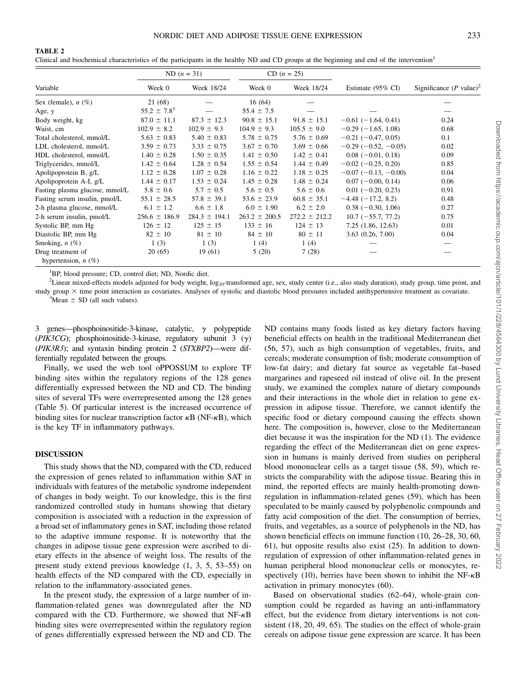TABLE 2

Clinical and biochemical characteristics of the participants in the healthy ND and CD groups at the beginning and end of the intervention<sup>1</sup>

|                                            | $ND (n = 31)$     |                   | $CD (n = 25)$     |                   |                               |                                       |  |
|--------------------------------------------|-------------------|-------------------|-------------------|-------------------|-------------------------------|---------------------------------------|--|
| Variable                                   | Week 0            | Week 18/24        | Week 0            | Week 18/24        | Estimate $(95\% \text{ CI})$  | Significance $(P$ value) <sup>2</sup> |  |
| Sex (female), $n$ (%)                      | 21(68)            |                   | 16(64)            |                   |                               |                                       |  |
| Age, y                                     | $55.2 \pm 7.8^3$  |                   | $55.4 \pm 7.5$    |                   |                               |                                       |  |
| Body weight, kg                            | $87.0 \pm 11.1$   | $87.3 \pm 12.3$   | $90.8 \pm 15.1$   | $91.8 \pm 15.1$   | $-0.61(-1.64, 0.41)$          | 0.24                                  |  |
| Waist, cm                                  | $102.9 \pm 8.2$   | $102.9 \pm 9.3$   | $104.9 \pm 9.3$   | $105.5 \pm 9.0$   | $-0.29(-1.65, 1.08)$          | 0.68                                  |  |
| Total cholesterol, mmol/L                  | $5.63 \pm 0.83$   | $5.40 \pm 0.83$   | $5.78 \pm 0.75$   | $5.76 \pm 0.69$   | $-0.21$ ( $-0.47$ , 0.05)     | 0.1                                   |  |
| LDL cholesterol, mmol/L                    | $3.59 \pm 0.73$   | $3.33 \pm 0.75$   | $3.67 \pm 0.70$   | $3.69 \pm 0.66$   | $-0.29$ ( $-0.52$ , $-0.05$ ) | 0.02                                  |  |
| HDL cholesterol, mmol/L                    | $1.40 \pm 0.28$   | $1.50 \pm 0.35$   | $1.41 \pm 0.50$   | $1.42 \pm 0.41$   | $0.08(-0.01, 0.18)$           | 0.09                                  |  |
| Triglycerides, mmol/L                      | $1.42 \pm 0.64$   | $1.28 \pm 0.54$   | $1.55 \pm 0.54$   | $1.44 \pm 0.49$   | $-0.02$ ( $-0.25$ , 0.20)     | 0.85                                  |  |
| Apolipoprotein B, g/L                      | $1.12 \pm 0.28$   | $1.07 \pm 0.28$   | $1.16 \pm 0.22$   | $1.18 \pm 0.25$   | $-0.07$ ( $-0.13$ , $-0.00$ ) | 0.04                                  |  |
| Apolipoprotein A-I, g/L                    | $1.44 \pm 0.17$   | $1.53 \pm 0.24$   | $1.45 \pm 0.28$   | $1.48 \pm 0.24$   | $0.07(-0.00, 0.14)$           | 0.06                                  |  |
| Fasting plasma glucose, mmol/L             | $5.8 \pm 0.6$     | $5.7 \pm 0.5$     | $5.6 \pm 0.5$     | $5.6 \pm 0.6$     | $0.01$ (-0.20, 0.23)          | 0.91                                  |  |
| Fasting serum insulin, pmol/L              | $55.1 \pm 28.5$   | $57.8 \pm 39.1$   | $53.6 \pm 23.9$   | $60.8 \pm 35.1$   | $-4.48$ ( $-17.2$ , 8.2)      | 0.48                                  |  |
| 2-h plasma glucose, mmol/L                 | $6.1 \pm 1.2$     | $6.6 \pm 1.8$     | $6.0 \pm 1.90$    | $6.2 \pm 2.0$     | $0.38$ (-0.30, 1.06)          | 0.27                                  |  |
| 2-h serum insulin, pmol/L                  | $256.6 \pm 186.9$ | $284.3 \pm 194.1$ | $263.2 \pm 200.5$ | $272.2 \pm 212.2$ | $10.7(-55.7, 77.2)$           | 0.75                                  |  |
| Systolic BP, mm Hg                         | $126 \pm 12$      | $125 \pm 15$      | $133 \pm 16$      | $124 \pm 13$      | 7.25 (1.86, 12.63)            | 0.01                                  |  |
| Diastolic BP, mm Hg                        | $82 \pm 10$       | $81 \pm 10$       | $84 \pm 10$       | $80 \pm 11$       | 3.63(0.26, 7.00)              | 0.04                                  |  |
| Smoking, $n$ $(\%)$                        | 1(3)              | 1(3)              | 1(4)              | 1(4)              |                               |                                       |  |
| Drug treatment of<br>hypertension, $n$ (%) | 20(65)            | 19(61)            | 5(20)             | 7(28)             |                               |                                       |  |

<sup>1</sup>BP, blood pressure; CD, control diet; ND, Nordic diet.

 ${}^{2}$ Linear mixed-effects models adjusted for body weight,  $log_{10}$ -transformed age, sex, study center (i.e., also study duration), study group, time point, and study group  $\times$  time point interaction as covariates. Analyses of systolic and diastolic blood pressures included antihypertensive treatment as covariate.

 $3$ Mean  $\pm$  SD (all such values).

3 genes—phosphoinositide-3-kinase, catalytic,  $\gamma$  polypeptide (PIK3CG); phosphoinositide-3-kinase, regulatory subunit 3 ( $\gamma$ ) (PIK3R3); and syntaxin binding protein 2 (STXBP2)—were differentially regulated between the groups.

Finally, we used the web tool oPPOSSUM to explore TF binding sites within the regulatory regions of the 128 genes differentially expressed between the ND and CD. The binding sites of several TFs were overrepresented among the 128 genes (Table 5). Of particular interest is the increased occurrence of binding sites for nuclear transcription factor  $\kappa$ B (NF- $\kappa$ B), which is the key TF in inflammatory pathways.

## DISCUSSION

This study shows that the ND, compared with the CD, reduced the expression of genes related to inflammation within SAT in individuals with features of the metabolic syndrome independent of changes in body weight. To our knowledge, this is the first randomized controlled study in humans showing that dietary composition is associated with a reduction in the expression of a broad set of inflammatory genes in SAT, including those related to the adaptive immune response. It is noteworthy that the changes in adipose tissue gene expression were ascribed to dietary effects in the absence of weight loss. The results of the present study extend previous knowledge (1, 3, 5, 53–55) on health effects of the ND compared with the CD, especially in relation to the inflammatory-associated genes.

In the present study, the expression of a large number of inflammation-related genes was downregulated after the ND compared with the CD. Furthermore, we showed that  $NF-\kappa B$ binding sites were overrepresented within the regulatory region of genes differentially expressed between the ND and CD. The

ND contains many foods listed as key dietary factors having beneficial effects on health in the traditional Mediterranean diet (56, 57), such as high consumption of vegetables, fruits, and cereals; moderate consumption of fish; moderate consumption of low-fat dairy; and dietary fat source as vegetable fat–based margarines and rapeseed oil instead of olive oil. In the present study, we examined the complex nature of dietary compounds and their interactions in the whole diet in relation to gene expression in adipose tissue. Therefore, we cannot identify the specific food or dietary compound causing the effects shown here. The composition is, however, close to the Mediterranean diet because it was the inspiration for the ND (1). The evidence regarding the effect of the Mediterranean diet on gene expression in humans is mainly derived from studies on peripheral blood mononuclear cells as a target tissue (58, 59), which restricts the comparability with the adipose tissue. Bearing this in mind, the reported effects are mainly health-promoting downregulation in inflammation-related genes (59), which has been speculated to be mainly caused by polyphenolic compounds and fatty acid composition of the diet. The consumption of berries, fruits, and vegetables, as a source of polyphenols in the ND, has shown beneficial effects on immune function (10, 26–28, 30, 60, 61), but opposite results also exist (25). In addition to downregulation of expression of other inflammation-related genes in human peripheral blood mononuclear cells or monocytes, respectively (10), berries have been shown to inhibit the  $NF-\kappa B$ activation in primary monocytes (60).

Based on observational studies (62–64), whole-grain consumption could be regarded as having an anti-inflammatory effect, but the evidence from dietary interventions is not consistent (18, 20, 49, 65). The studies on the effect of whole-grain cereals on adipose tissue gene expression are scarce. It has been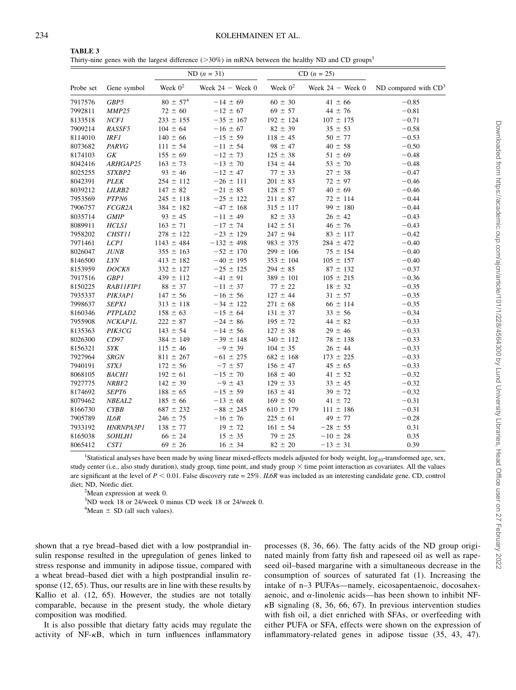TABLE 3

|           |                | $ND (n = 31)$       |                    |                    | $CD (n = 25)$      |                        |
|-----------|----------------|---------------------|--------------------|--------------------|--------------------|------------------------|
| Probe set | Gene symbol    | Week $0^2$          | Week $24 -$ Week 0 | Week $0^2$         | Week $24 -$ Week 0 | ND compared with $CD3$ |
| 7917576   | GBP5           | $80 \, \pm \, 57^4$ | $-14 \pm 69$       | $60 \pm 30$        | $41 \pm 66$        | $-0.85$                |
| 7992811   | MMP25          | $72 \pm 60$         | $-12 \pm 67$       | $69 \pm 57$        | $44 \pm 76$        | $-0.81$                |
| 8133518   | NCF1           | $233 \pm 155$       | $-35 \pm 167$      | $192 \pm 124$      | $107 \pm 175$      | $-0.71$                |
| 7909214   | RASSF5         | $104 \pm 64$        | $-16 \pm 67$       | $82 \pm 39$        | $35 \pm 53$        | $-0.58$                |
| 8114010   | IRF1           | $140 \pm 66$        | $-15 \pm 59$       | $118 \pm 45$       | $50 \pm 77$        | $-0.53$                |
| 8073682   | <b>PARVG</b>   | $111 \pm 54$        | $-11 \pm 54$       | $98 \pm 47$        | $40 \pm 58$        | $-0.50$                |
| 8174103   | G K            | $155 \pm 69$        | $-12 \pm 73$       | $125 \pm 38$       | $51 \pm 69$        | $-0.48$                |
| 8042416   | ARHGAP25       | $163 \pm 73$        | $-13 \pm 70$       | $134 \pm 44$       | $53 \pm 70$        | $-0.48$                |
| 8025255   | STXBP2         | $93 \pm 46$         | $-12 \pm 47$       | $77 \pm 33$        | $27 \pm 38$        | $-0.47$                |
| 8042391   | <b>PLEK</b>    | $254 \pm 112$       | $-26 \pm 111$      | $201 \pm 83$       | $72 \pm 97$        | $-0.46$                |
| 8039212   | <b>LILRB2</b>  | $147 \pm 82$        | $-21 \pm 85$       | $128 \pm 57$       | $40 \pm 69$        | $-0.46$                |
| 7953569   | PTPN6          | $245 \pm 118$       | $-25 \pm 122$      | $211 \pm 87$       | $72 \pm 114$       | $-0.44$                |
| 7906757   | FCGR2A         | $384 \pm 182$       | $-47 \pm 168$      | $315 \pm 117$      | $99 \pm 180$       | $-0.44$                |
| 8035714   | <b>GMIP</b>    | $93 \pm 45$         | $-11 \pm 49$       | $82 \pm 33$        | $26 \pm 42$        | $-0.43$                |
| 8089911   | <b>HCLS1</b>   | $163 \pm 71$        | $-17 \pm 74$       | $142 \pm 51$       | $46 \pm 76$        | $-0.43$                |
| 7958202   | CHST11         | $278 \pm 122$       | $-23 \pm 129$      | $247 \pm 94$       | $83 \pm 117$       | $-0.42$                |
| 7971461   | LCP1           | $1143 \pm 484$      | $-132 \pm 498$     | $983 \pm 375$      | $284 \pm 472$      | $-0.40$                |
| 8026047   | <b>JUNB</b>    | $355 \pm 163$       | $-52 \pm 170$      | $299 \pm 106$      | $75 \pm 154$       | $-0.40$                |
| 8146500   | <b>LYN</b>     | $413 \pm 182$       | $-40 \pm 195$      | $353 \pm 104$      | $105 \pm 157$      | $-0.40$                |
| 8153959   | DOCK8          | $332 \pm 127$       | $-25 \pm 125$      | $294 \pm 85$       | $87 \pm 132$       | $-0.37$                |
| 7917516   | <b>GBP1</b>    | $439 \pm 112$       | $-41 \pm 91$       | $389 \pm 101$      | $105 \pm 215$      | $-0.36$                |
| 8150225   | RAB11FIP1      | $88 \pm 37$         | $-11 \pm 37$       | $77 \pm 22$        | $18 \pm 32$        | $-0.35$                |
| 7935337   | PIK3AP1        | $147 \pm 56$        | $-16 \pm 56$       | $127 \pm 44$       | $31 \pm 57$        | $-0.35$                |
| 7998637   | <b>SEPX1</b>   | $313 \pm 118$       | $-34 \pm 122$      | $271 \pm 68$       | $66 \pm 114$       | $-0.35$                |
| 8160346   | PTPLAD2        | $158 \pm 63$        | $-15 \pm 64$       | $131 \pm 37$       | $33 \pm 56$        | $-0.34$                |
| 7955908   | <b>NCKAP1L</b> | $222 \pm 87$        | $-24 \pm 86$       | $195 \pm 72$       | $44 \pm 82$        | $-0.33$                |
| 8135363   | PIK3CG         | $143 \pm 54$        | $-14 \pm 56$       | $127 \pm 38$       | $29 \pm 46$        | $-0.33$                |
| 8026300   | CD97           | $384 \pm 149$       | $-39 \pm 148$      | $340 \pm 112$      | $78 \pm 138$       | $-0.33$                |
| 8156321   | <b>SYK</b>     | $115 \pm 46$        | $-9 \pm 39$        | $104 \pm 35$       | $26 \pm 44$        | $-0.33$                |
| 7927964   | <b>SRGN</b>    | $811 \pm 267$       | $-61 \pm 275$      | $682 \pm 168$      | $173 \pm 225$      | $-0.33$                |
| 7940191   | STX3           | $172 \pm 56$        | $-7 \pm 57$        | $156 \pm 47$       | $45 \pm 65$        | $-0.33$                |
| 8068105   | <b>BACH1</b>   | $192 \pm 61$        | $-15 \pm 70$       | $168\,\pm\,40$     | $41 \pm 52$        | $-0.32$                |
| 7927775   | NRBF2          | $142 \pm 39$        | $-9 \pm 43$        | $129 \pm 33$       | $33 \pm 45$        | $-0.32$                |
| 8174692   | SEPT6          | $188 \pm 65$        | $-15 \pm 59$       | $163 \pm 41$       | $39 \pm 72$        | $-0.32$                |
| 8079462   | NBEAL2         | $185 \pm 66$        | $-13 \pm 68$       | $169 \, \pm \, 50$ | $41 \pm 72$        | $-0.31$                |
| 8166730   | CYBB           | $687 \pm 232$       | $-88 \pm 245$      | $610 \pm 179$      | $111 \pm 186$      | $-0.31$                |
| 7905789   | IL6R           | $246 \pm 75$        | $-16 \pm 76$       | $225 \pm 61$       | $49 \pm 77$        | $-0.28$                |
| 7933192   | HNRNPA3P1      | $138 \pm 77$        | $19 \pm 72$        | $161 \pm 54$       | $-28 \pm 55$       | 0.31                   |
| 8165038   | SOHLH1         | $66 \pm 24$         | $15 \pm 35$        | $79 \pm 25$        | $-10 \pm 28$       | 0.35                   |
| 8065412   | CST1           | $69 \pm 26$         | $16 \pm 34$        | $82 \pm 20$        | $-13 \pm 31$       | 0.39                   |

Thirty-nine genes with the largest difference ( $>30\%$ ) in mRNA between the healthy ND and CD groups<sup>1</sup>

<sup>1</sup>Statistical analyses have been made by using linear mixed-effects models adjusted for body weight, log<sub>10</sub>-transformed age, sex, study center (i.e., also study duration), study group, time point, and study group  $\times$  time point interaction as covariates. All the values are significant at the level of  $P < 0.01$ . False discovery rate = 25%. IL6R was included as an interesting candidate gene. CD, control diet; ND, Nordic diet.

 $2$ Mean expression at week 0.

3 ND week 18 or 24/week 0 minus CD week 18 or 24/week 0.

 ${}^{4}$ Mean  $\pm$  SD (all such values).

shown that a rye bread–based diet with a low postprandial insulin response resulted in the upregulation of genes linked to stress response and immunity in adipose tissue, compared with a wheat bread–based diet with a high postprandial insulin response (12, 65). Thus, our results are in line with these results by Kallio et al. (12, 65). However, the studies are not totally comparable, because in the present study, the whole dietary composition was modified.

It is also possible that dietary fatty acids may regulate the activity of  $NF- $\kappa$ B$ , which in turn influences inflammatory

processes (8, 36, 66). The fatty acids of the ND group originated mainly from fatty fish and rapeseed oil as well as rapeseed oil–based margarine with a simultaneous decrease in the consumption of sources of saturated fat (1). Increasing the intake of n–3 PUFAs—namely, eicosapentaenoic, docosahexaenoic, and  $\alpha$ -linolenic acids—has been shown to inhibit NF- $\kappa$ B signaling (8, 36, 66, 67). In previous intervention studies with fish oil, a diet enriched with SFAs, or overfeeding with either PUFA or SFA, effects were shown on the expression of inflammatory-related genes in adipose tissue (35, 43, 47).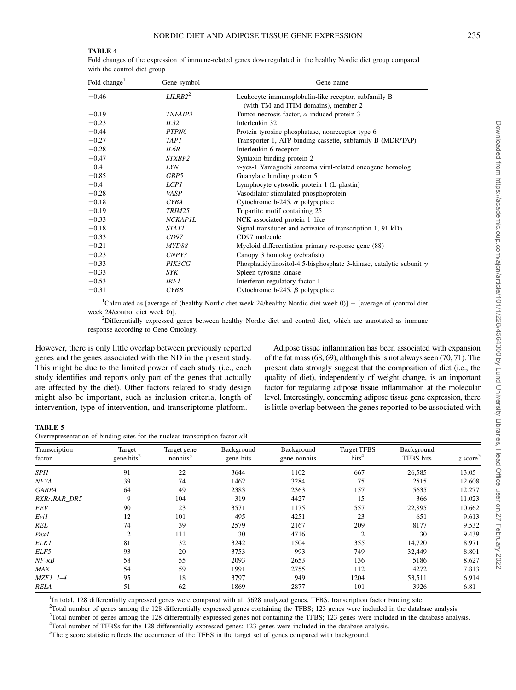## TABLE 4

| Fold changes of the expression of immune-related genes downregulated in the healthy Nordic diet group compared |  |  |
|----------------------------------------------------------------------------------------------------------------|--|--|
| with the control diet group                                                                                    |  |  |

| Fold change <sup>1</sup> | Gene symbol         | Gene name                                                                                   |
|--------------------------|---------------------|---------------------------------------------------------------------------------------------|
| $-0.46$                  | LILRB2 <sup>2</sup> | Leukocyte immunoglobulin-like receptor, subfamily B<br>(with TM and ITIM domains), member 2 |
| $-0.19$                  | TNFAIP3             | Tumor necrosis factor, $\alpha$ -induced protein 3                                          |
| $-0.23$                  | II.32               | Interleukin 32                                                                              |
| $-0.44$                  | PTPN6               | Protein tyrosine phosphatase, nonreceptor type 6                                            |
| $-0.27$                  | TAP <sub>1</sub>    | Transporter 1, ATP-binding cassette, subfamily B (MDR/TAP)                                  |
| $-0.28$                  | II6R                | Interleukin 6 receptor                                                                      |
| $-0.47$                  | STXBP2              | Syntaxin binding protein 2                                                                  |
| $-0.4$                   | LYN                 | v-yes-1 Yamaguchi sarcoma viral-related oncogene homolog                                    |
| $-0.85$                  | GBP <sub>5</sub>    | Guanylate binding protein 5                                                                 |
| $-0.4$                   | LCP1                | Lymphocyte cytosolic protein 1 (L-plastin)                                                  |
| $-0.28$                  | <b>VASP</b>         | Vasodilator-stimulated phosphoprotein                                                       |
| $-0.18$                  | <b>CYBA</b>         | Cytochrome b-245, $\alpha$ polypeptide                                                      |
| $-0.19$                  | TRIM25              | Tripartite motif containing 25                                                              |
| $-0.33$                  | NCKAP1L             | NCK-associated protein 1-like                                                               |
| $-0.18$                  | <i>STAT1</i>        | Signal transducer and activator of transcription 1, 91 kDa                                  |
| $-0.33$                  | CD97                | CD97 molecule                                                                               |
| $-0.21$                  | MYD88               | Myeloid differentiation primary response gene (88)                                          |
| $-0.23$                  | CNPY3               | Canopy 3 homolog (zebrafish)                                                                |
| $-0.33$                  | PIK3CG              | Phosphatidylinositol-4,5-bisphosphate 3-kinase, catalytic subunit $\gamma$                  |
| $-0.33$                  | <i>SYK</i>          | Spleen tyrosine kinase                                                                      |
| $-0.53$                  | <i>IRF1</i>         | Interferon regulatory factor 1                                                              |
| $-0.31$                  | CYBB                | Cytochrome b-245, $\beta$ polypeptide                                                       |

<sup>1</sup>Calculated as [average of (healthy Nordic diet week 24/healthy Nordic diet week  $0$ )] - [average of (control diet week 24/control diet week 0)].

2 Differentially expressed genes between healthy Nordic diet and control diet, which are annotated as immune response according to Gene Ontology.

However, there is only little overlap between previously reported genes and the genes associated with the ND in the present study. This might be due to the limited power of each study (i.e., each study identifies and reports only part of the genes that actually are affected by the diet). Other factors related to study design might also be important, such as inclusion criteria, length of intervention, type of intervention, and transcriptome platform.

Adipose tissue inflammation has been associated with expansion of the fat mass (68, 69), although this is not always seen (70, 71). The present data strongly suggest that the composition of diet (i.e., the quality of diet), independently of weight change, is an important factor for regulating adipose tissue inflammation at the molecular level. Interestingly, concerning adipose tissue gene expression, there is little overlap between the genes reported to be associated with

TABLE 5 Overrepresentation of binding sites for the nuclear transcription factor  $\kappa B<sup>1</sup>$ 

| Transcription<br>factor | Target<br>gene hits <sup>2</sup> | Target gene<br>nonhits <sup>3</sup> | Background<br>gene hits | Background<br>gene nonhits | <b>Target TFBS</b><br>hits <sup>4</sup> | Background<br>TFBS hits | $z$ score <sup>5</sup> |
|-------------------------|----------------------------------|-------------------------------------|-------------------------|----------------------------|-----------------------------------------|-------------------------|------------------------|
| <i>SPI1</i>             | 91                               | 22                                  | 3644                    | 1102                       | 667                                     | 26,585                  | 13.05                  |
| NFYA                    | 39                               | 74                                  | 1462                    | 3284                       | 75                                      | 2515                    | 12.608                 |
| <b>GABPA</b>            | 64                               | 49                                  | 2383                    | 2363                       | 157                                     | 5635                    | 12.277                 |
| RXR::RAR DR5            | 9                                | 104                                 | 319                     | 4427                       | 15                                      | 366                     | 11.023                 |
| <b>FEV</b>              | 90                               | 23                                  | 3571                    | 1175                       | 557                                     | 22,895                  | 10.662                 |
| Evil                    | 12                               | 101                                 | 495                     | 4251                       | 23                                      | 651                     | 9.613                  |
| <b>REL</b>              | 74                               | 39                                  | 2579                    | 2167                       | 209                                     | 8177                    | 9.532                  |
| Pax4                    | 2                                | 111                                 | 30                      | 4716                       | $\overline{2}$                          | 30                      | 9.439                  |
| <b>ELK1</b>             | 81                               | 32                                  | 3242                    | 1504                       | 355                                     | 14,720                  | 8.971                  |
| ELF5                    | 93                               | 20                                  | 3753                    | 993                        | 749                                     | 32,449                  | 8.801                  |
| $NF - \kappa B$         | 58                               | 55                                  | 2093                    | 2653                       | 136                                     | 5186                    | 8.627                  |
| <b>MAX</b>              | 54                               | 59                                  | 1991                    | 2755                       | 112                                     | 4272                    | 7.813                  |
| $MZF1_1-4$              | 95                               | 18                                  | 3797                    | 949                        | 1204                                    | 53,511                  | 6.914                  |
| <b>RELA</b>             | 51                               | 62                                  | 1869                    | 2877                       | 101                                     | 3926                    | 6.81                   |

<sup>1</sup>In total, 128 differentially expressed genes were compared with all 5628 analyzed genes. TFBS, transcription factor binding site.

2 Total number of genes among the 128 differentially expressed genes containing the TFBS; 123 genes were included in the database analysis.

<sup>3</sup>Total number of genes among the 128 differentially expressed genes not containing the TFBS; 123 genes were included in the database analysis.

4 Total number of TFBSs for the 128 differentially expressed genes; 123 genes were included in the database analysis.

 $5$ The  $z$  score statistic reflects the occurrence of the TFBS in the target set of genes compared with background.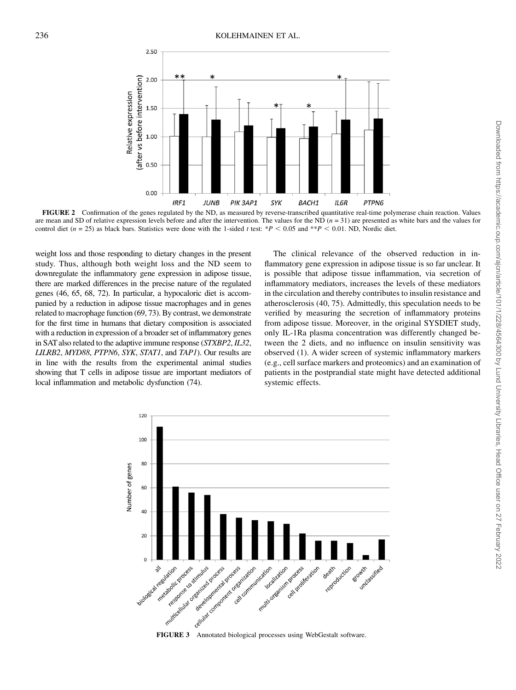

FIGURE 2 Confirmation of the genes regulated by the ND, as measured by reverse-transcribed quantitative real-time polymerase chain reaction. Values are mean and SD of relative expression levels before and after the intervention. The values for the ND  $(n = 31)$  are presented as white bars and the values for control diet (n = 25) as black bars. Statistics were done with the 1-sided t test: \*P < 0.05 and \*\*P < 0.01. ND, Nordic diet.

weight loss and those responding to dietary changes in the present study. Thus, although both weight loss and the ND seem to downregulate the inflammatory gene expression in adipose tissue, there are marked differences in the precise nature of the regulated genes (46, 65, 68, 72). In particular, a hypocaloric diet is accompanied by a reduction in adipose tissue macrophages and in genes related to macrophage function (69, 73). By contrast, we demonstrate for the first time in humans that dietary composition is associated with a reduction in expression of a broader set of inflammatory genes in SATalso related to the adaptive immune response (STXBP2, IL32, LILRB2, MYD88, PTPN6, SYK, STAT1, and TAP1). Our results are in line with the results from the experimental animal studies showing that T cells in adipose tissue are important mediators of local inflammation and metabolic dysfunction (74).

The clinical relevance of the observed reduction in inflammatory gene expression in adipose tissue is so far unclear. It is possible that adipose tissue inflammation, via secretion of inflammatory mediators, increases the levels of these mediators in the circulation and thereby contributes to insulin resistance and atherosclerosis (40, 75). Admittedly, this speculation needs to be verified by measuring the secretion of inflammatory proteins from adipose tissue. Moreover, in the original SYSDIET study, only IL-1Ra plasma concentration was differently changed between the 2 diets, and no influence on insulin sensitivity was observed (1). A wider screen of systemic inflammatory markers (e.g., cell surface markers and proteomics) and an examination of patients in the postprandial state might have detected additional systemic effects.

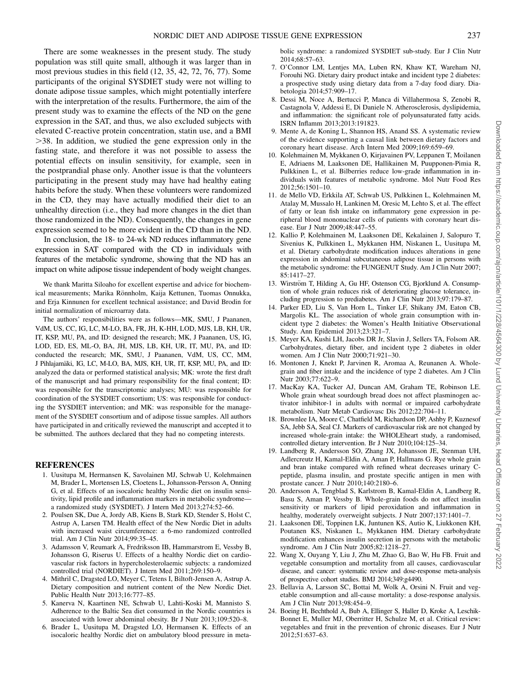There are some weaknesses in the present study. The study population was still quite small, although it was larger than in most previous studies in this field (12, 35, 42, 72, 76, 77). Some participants of the original SYSDIET study were not willing to donate adipose tissue samples, which might potentially interfere with the interpretation of the results. Furthermore, the aim of the present study was to examine the effects of the ND on the gene expression in the SAT, and thus, we also excluded subjects with elevated C-reactive protein concentration, statin use, and a BMI .38. In addition, we studied the gene expression only in the fasting state, and therefore it was not possible to assess the potential effects on insulin sensitivity, for example, seen in the postprandial phase only. Another issue is that the volunteers participating in the present study may have had healthy eating habits before the study. When these volunteers were randomized in the CD, they may have actually modified their diet to an unhealthy direction (i.e., they had more changes in the diet than those randomized in the ND). Consequently, the changes in gene expression seemed to be more evident in the CD than in the ND.

In conclusion, the 18- to 24-wk ND reduces inflammatory gene expression in SAT compared with the CD in individuals with features of the metabolic syndrome, showing that the ND has an impact on white adipose tissue independent of body weight changes.

We thank Maritta Siloaho for excellent expertise and advice for biochemical measurements; Marika Rönnholm, Kaija Kettunen, Tuomas Onnukka, and Erja Kinnunen for excellent technical assistance; and David Brodin for initial normalization of microarray data.

The authors' responsibilities were as follows—MK, SMU, J Paananen, VdM, US, CC, IG, LC, M-LO, BA, FR, JH, K-HH, LOD, MJS, LB, KH, UR, IT, KSP, MU, PA, and ID: designed the research; MK, J Paananen, US, IG, LOD, ED, ES, ML-O, BA, JH, MJS, LB, KH, UR, IT, MU, PA, and ID: conducted the research; MK, SMU, J Paananen, VdM, US, CC, MM, J Pihlajamäki, IG, LC, M-LO, BA, MJS, KH, UR, IT, KSP, MU, PA, and ID: analyzed the data or performed statistical analysis; MK: wrote the first draft of the manuscript and had primary responsibility for the final content; ID: was responsible for the transcriptomic analyses; MU: was responsible for coordination of the SYSDIET consortium; US: was responsible for conducting the SYSDIET intervention; and MK: was responsible for the management of the SYSDIET consortium and of adipose tissue samples. All authors have participated in and critically reviewed the manuscript and accepted it to be submitted. The authors declared that they had no competing interests.

## **REFERENCES**

- 1. Uusitupa M, Hermansen K, Savolainen MJ, Schwab U, Kolehmainen M, Brader L, Mortensen LS, Cloetens L, Johansson-Persson A, Onning G, et al. Effects of an isocaloric healthy Nordic diet on insulin sensitivity, lipid profile and inflammation markers in metabolic syndrome a randomized study (SYSDIET). J Intern Med 2013;274:52–66.
- 2. Poulsen SK, Due A, Jordy AB, Kiens B, Stark KD, Stender S, Holst C, Astrup A, Larsen TM. Health effect of the New Nordic Diet in adults with increased waist circumference: a 6-mo randomized controlled trial. Am J Clin Nutr 2014;99:35–45.
- 3. Adamsson V, Reumark A, Fredriksson IB, Hammarstrom E, Vessby B, Johansson G, Riserus U. Effects of a healthy Nordic diet on cardiovascular risk factors in hypercholesterolaemic subjects: a randomized controlled trial (NORDIET). J Intern Med 2011;269:150–9.
- 4. Mithril C, Dragsted LO, Meyer C, Tetens I, Biltoft-Jensen A, Astrup A. Dietary composition and nutrient content of the New Nordic Diet. Public Health Nutr 2013;16:777–85.
- 5. Kanerva N, Kaartinen NE, Schwab U, Lahti-Koski M, Mannisto S. Adherence to the Baltic Sea diet consumed in the Nordic countries is associated with lower abdominal obesity. Br J Nutr 2013;109:520–8.
- 6. Brader L, Uusitupa M, Dragsted LO, Hermansen K. Effects of an isocaloric healthy Nordic diet on ambulatory blood pressure in meta-

bolic syndrome: a randomized SYSDIET sub-study. Eur J Clin Nutr 2014;68:57–63.

- 7. O'Connor LM, Lentjes MA, Luben RN, Khaw KT, Wareham NJ, Forouhi NG. Dietary dairy product intake and incident type 2 diabetes: a prospective study using dietary data from a 7-day food diary. Diabetologia 2014;57:909–17.
- 8. Dessi M, Noce A, Bertucci P, Manca di Villahermosa S, Zenobi R, Castagnola V, Addessi E, Di Daniele N. Atherosclerosis, dyslipidemia, and inflammation: the significant role of polyunsaturated fatty acids. ISRN Inflamm 2013;2013:191823.
- 9. Mente A, de Koning L, Shannon HS, Anand SS. A systematic review of the evidence supporting a causal link between dietary factors and coronary heart disease. Arch Intern Med 2009;169:659–69.
- 10. Kolehmainen M, Mykkanen O, Kirjavainen PV, Leppanen T, Moilanen E, Adriaens M, Laaksonen DE, Hallikainen M, Puupponen-Pimia R, Pulkkinen L, et al. Bilberries reduce low-grade inflammation in individuals with features of metabolic syndrome. Mol Nutr Food Res 2012;56:1501–10.
- 11. de Mello VD, Erkkila AT, Schwab US, Pulkkinen L, Kolehmainen M, Atalay M, Mussalo H, Lankinen M, Oresic M, Lehto S, et al. The effect of fatty or lean fish intake on inflammatory gene expression in peripheral blood mononuclear cells of patients with coronary heart disease. Eur J Nutr 2009;48:447–55.
- 12. Kallio P, Kolehmainen M, Laaksonen DE, Kekalainen J, Salopuro T, Sivenius K, Pulkkinen L, Mykkanen HM, Niskanen L, Uusitupa M, et al. Dietary carbohydrate modification induces alterations in gene expression in abdominal subcutaneous adipose tissue in persons with the metabolic syndrome: the FUNGENUT Study. Am J Clin Nutr 2007; 85:1417–27.
- 13. Wirström T, Hilding A, Gu HF, Ostenson CG, Bjorklund A. Consumption of whole grain reduces risk of deteriorating glucose tolerance, including progression to prediabetes. Am J Clin Nutr 2013;97:179–87.
- 14. Parker ED, Liu S, Van Horn L, Tinker LF, Shikany JM, Eaton CB, Margolis KL. The association of whole grain consumption with incident type 2 diabetes: the Women's Health Initiative Observational Study. Ann Epidemiol 2013;23:321–7.
- 15. Meyer KA, Kushi LH, Jacobs DR Jr, Slavin J, Sellers TA, Folsom AR. Carbohydrates, dietary fiber, and incident type 2 diabetes in older women. Am J Clin Nutr 2000;71:921–30.
- 16. Montonen J, Knekt P, Jarvinen R, Aromaa A, Reunanen A. Wholegrain and fiber intake and the incidence of type 2 diabetes. Am J Clin Nutr 2003;77:622–9.
- 17. MacKay KA, Tucker AJ, Duncan AM, Graham TE, Robinson LE. Whole grain wheat sourdough bread does not affect plasminogen activator inhibitor-1 in adults with normal or impaired carbohydrate metabolism. Nutr Metab Cardiovasc Dis 2012;22:704–11.
- 18. Brownlee IA, Moore C, Chatfield M, Richardson DP, Ashby P, Kuznesof SA, Jebb SA, Seal CJ. Markers of cardiovascular risk are not changed by increased whole-grain intake: the WHOLEheart study, a randomised, controlled dietary intervention. Br J Nutr 2010;104:125–34.
- 19. Landberg R, Andersson SO, Zhang JX, Johansson JE, Stenman UH, Adlercreutz H, Kamal-Eldin A, Aman P, Hallmans G. Rye whole grain and bran intake compared with refined wheat decreases urinary Cpeptide, plasma insulin, and prostate specific antigen in men with prostate cancer. J Nutr 2010;140:2180–6.
- 20. Andersson A, Tengblad S, Karlstrom B, Kamal-Eldin A, Landberg R, Basu S, Aman P, Vessby B. Whole-grain foods do not affect insulin sensitivity or markers of lipid peroxidation and inflammation in healthy, moderately overweight subjects. J Nutr 2007;137:1401-7.
- 21. Laaksonen DE, Toppinen LK, Juntunen KS, Autio K, Liukkonen KH, Poutanen KS, Niskanen L, Mykkanen HM. Dietary carbohydrate modification enhances insulin secretion in persons with the metabolic syndrome. Am J Clin Nutr 2005;82:1218–27.
- 22. Wang X, Ouyang Y, Liu J, Zhu M, Zhao G, Bao W, Hu FB. Fruit and vegetable consumption and mortality from all causes, cardiovascular disease, and cancer: systematic review and dose-response meta-analysis of prospective cohort studies. BMJ 2014;349:g4490.
- 23. Bellavia A, Larsson SC, Bottai M, Wolk A, Orsini N. Fruit and vegetable consumption and all-cause mortality: a dose-response analysis. Am J Clin Nutr 2013;98:454–9.
- 24. Boeing H, Bechthold A, Bub A, Ellinger S, Haller D, Kroke A, Leschik-Bonnet E, Muller MJ, Oberritter H, Schulze M, et al. Critical review: vegetables and fruit in the prevention of chronic diseases. Eur J Nutr 2012;51:637–63.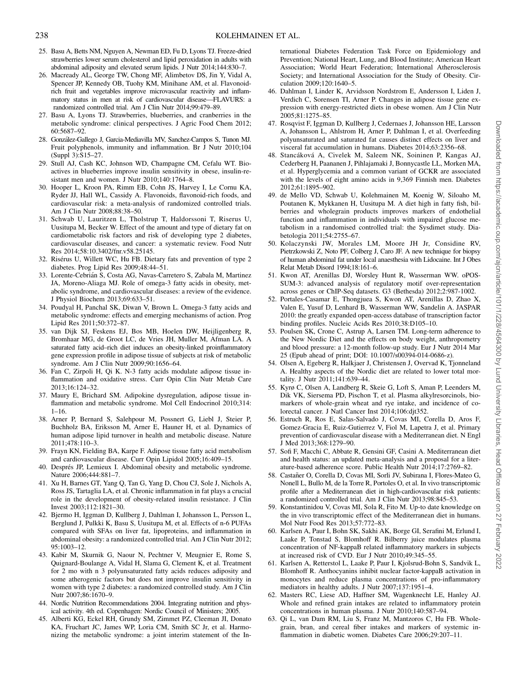- 25. Basu A, Betts NM, Nguyen A, Newman ED, Fu D, Lyons TJ. Freeze-dried strawberries lower serum cholesterol and lipid peroxidation in adults with abdominal adiposity and elevated serum lipids. J Nutr 2014;144:830–7.
- 26. Macready AL, George TW, Chong MF, Alimbetov DS, Jin Y, Vidal A, Spencer JP, Kennedy OB, Tuohy KM, Minihane AM, et al. Flavonoidrich fruit and vegetables improve microvascular reactivity and inflammatory status in men at risk of cardiovascular disease—FLAVURS: a randomized controlled trial. Am J Clin Nutr 2014;99:479–89.
- 27. Basu A, Lyons TJ. Strawberries, blueberries, and cranberries in the metabolic syndrome: clinical perspectives. J Agric Food Chem 2012; 60:5687–92.
- 28. Gonza´lez-Gallego J, Garcia-Mediavilla MV, Sanchez-Campos S, Tunon MJ. Fruit polyphenols, immunity and inflammation. Br J Nutr 2010;104 (Suppl 3):S15–27.
- 29. Stull AJ, Cash KC, Johnson WD, Champagne CM, Cefalu WT. Bioactives in blueberries improve insulin sensitivity in obese, insulin-resistant men and women. J Nutr 2010;140:1764–8.
- 30. Hooper L, Kroon PA, Rimm EB, Cohn JS, Harvey I, Le Cornu KA, Ryder JJ, Hall WL, Cassidy A. Flavonoids, flavonoid-rich foods, and cardiovascular risk: a meta-analysis of randomized controlled trials. Am J Clin Nutr 2008;88:38–50.
- 31. Schwab U, Lauritzen L, Tholstrup T, Haldorssoni T, Riserus U, Uusitupa M, Becker W. Effect of the amount and type of dietary fat on cardiometabolic risk factors and risk of developing type 2 diabetes, cardiovascular diseases, and cancer: a systematic review. Food Nutr Res 2014;58:10.3402/fnr.v58.25145.
- 32. Risérus U, Willett WC, Hu FB. Dietary fats and prevention of type 2 diabetes. Prog Lipid Res 2009;48:44–51.
- 33. Lorente-Cebria´n S, Costa AG, Navas-Carretero S, Zabala M, Martinez JA, Moreno-Aliaga MJ. Role of omega-3 fatty acids in obesity, metabolic syndrome, and cardiovascular diseases: a review of the evidence. J Physiol Biochem 2013;69:633–51.
- 34. Poudyal H, Panchal SK, Diwan V, Brown L. Omega-3 fatty acids and metabolic syndrome: effects and emerging mechanisms of action. Prog Lipid Res 2011;50:372–87.
- 35. van Dijk SJ, Feskens EJ, Bos MB, Hoelen DW, Heijligenberg R, Bromhaar MG, de Groot LC, de Vries JH, Muller M, Afman LA. A saturated fatty acid–rich diet induces an obesity-linked proinflammatory gene expression profile in adipose tissue of subjects at risk of metabolic syndrome. Am J Clin Nutr 2009;90:1656–64.
- 36. Fan C, Zirpoli H, Qi K. N-3 fatty acids modulate adipose tissue inflammation and oxidative stress. Curr Opin Clin Nutr Metab Care 2013;16:124–32.
- 37. Maury E, Brichard SM. Adipokine dysregulation, adipose tissue inflammation and metabolic syndrome. Mol Cell Endocrinol 2010;314: 1–16.
- 38. Arner P, Bernard S, Salehpour M, Possnert G, Liebl J, Steier P, Buchholz BA, Eriksson M, Arner E, Hauner H, et al. Dynamics of human adipose lipid turnover in health and metabolic disease. Nature 2011;478:110–3.
- 39. Frayn KN, Fielding BA, Karpe F. Adipose tissue fatty acid metabolism and cardiovascular disease. Curr Opin Lipidol 2005;16:409–15.
- 40. Després JP, Lemieux I. Abdominal obesity and metabolic syndrome. Nature 2006;444:881–7.
- 41. Xu H, Barnes GT, Yang Q, Tan G, Yang D, Chou CJ, Sole J, Nichols A, Ross JS, Tartaglia LA, et al. Chronic inflammation in fat plays a crucial role in the development of obesity-related insulin resistance. J Clin Invest 2003;112:1821–30.
- 42. Bjermo H, Iggman D, Kullberg J, Dahlman I, Johansson L, Persson L, Berglund J, Pulkki K, Basu S, Uusitupa M, et al. Effects of n-6 PUFAs compared with SFAs on liver fat, lipoproteins, and inflammation in abdominal obesity: a randomized controlled trial. Am J Clin Nutr 2012;  $95:1003 - 12.$
- 43. Kabir M, Skurnik G, Naour N, Pechtner V, Meugnier E, Rome S, Quignard-Boulange A, Vidal H, Slama G, Clement K, et al. Treatment for 2 mo with n 3 polyunsaturated fatty acids reduces adiposity and some atherogenic factors but does not improve insulin sensitivity in women with type 2 diabetes: a randomized controlled study. Am J Clin Nutr 2007;86:1670–9.
- 44. Nordic Nutrition Recommendations 2004. Integrating nutrition and physical activity. 4th ed. Copenhagen: Nordic Council of Ministers; 2005.
- 45. Alberti KG, Eckel RH, Grundy SM, Zimmet PZ, Cleeman JI, Donato KA, Fruchart JC, James WP, Loria CM, Smith SC Jr, et al. Harmonizing the metabolic syndrome: a joint interim statement of the In-

ternational Diabetes Federation Task Force on Epidemiology and Prevention; National Heart, Lung, and Blood Institute; American Heart Association; World Heart Federation; International Atherosclerosis Society; and International Association for the Study of Obesity. Circulation 2009;120:1640–5.

- 46. Dahlman I, Linder K, Arvidsson Nordstrom E, Andersson I, Liden J, Verdich C, Sorensen TI, Arner P. Changes in adipose tissue gene expression with energy-restricted diets in obese women. Am J Clin Nutr 2005;81:1275–85.
- 47. Rosqvist F, Iggman D, Kullberg J, Cedernaes J, Johansson HE, Larsson A, Johansson L, Ahlstrom H, Arner P, Dahlman I, et al. Overfeeding polyunsaturated and saturated fat causes distinct effects on liver and visceral fat accumulation in humans. Diabetes 2014;63:2356–68.
- 48. Stancáková A, Civelek M, Saleem NK, Soininen P, Kangas AJ, Cederberg H, Paananen J, Pihlajamaki J, Bonnycastle LL, Morken MA, et al. Hyperglycemia and a common variant of GCKR are associated with the levels of eight amino acids in 9,369 Finnish men. Diabetes 2012;61:1895–902.
- 49. de Mello VD, Schwab U, Kolehmainen M, Koenig W, Siloaho M, Poutanen K, Mykkanen H, Uusitupa M. A diet high in fatty fish, bilberries and wholegrain products improves markers of endothelial function and inflammation in individuals with impaired glucose metabolism in a randomised controlled trial: the Sysdimet study. Diabetologia 2011;54:2755–67.
- 50. Kolaczynski JW, Morales LM, Moore JH Jr, Considine RV, Pietrzkowski Z, Noto PF, Colberg J, Caro JF. A new technique for biopsy of human abdominal fat under local anaesthesia with Lidocaine. Int J Obes Relat Metab Disord 1994;18:161–6.
- 51. Kwon AT, Arenillas DJ, Worsley Hunt R, Wasserman WW. oPOS-SUM-3: advanced analysis of regulatory motif over-representation across genes or ChIP-Seq datasets. G3 (Bethesda) 2012;2:987-1002.
- 52. Portales-Casamar E, Thongjuea S, Kwon AT, Arenillas D, Zhao X, Valen E, Yusuf D, Lenhard B, Wasserman WW, Sandelin A. JASPAR 2010: the greatly expanded open-access database of transcription factor binding profiles. Nucleic Acids Res 2010;38:D105–10.
- 53. Poulsen SK, Crone C, Astrup A, Larsen TM. Long-term adherence to the New Nordic Diet and the effects on body weight, anthropometry and blood pressure: a 12-month follow-up study. Eur J Nutr 2014 Mar 25 (Epub ahead of print; DOI: 10.1007/s00394-014-0686-z).
- 54. Olsen A, Egeberg R, Halkjaer J, Christensen J, Overvad K, Tjonneland A. Healthy aspects of the Nordic diet are related to lower total mortality. J Nutr 2011;141:639–44.
- 55. Kyrø C, Olsen A, Landberg R, Skeie G, Loft S, Aman P, Leenders M, Dik VK, Siersema PD, Pischon T, et al. Plasma alkylresorcinols, biomarkers of whole-grain wheat and rye intake, and incidence of colorectal cancer. J Natl Cancer Inst 2014;106:djt352.
- 56. Estruch R, Ros E, Salas-Salvado J, Covas MI, Corella D, Aros F, Gomez-Gracia E, Ruiz-Gutierrez V, Fiol M, Lapetra J, et al. Primary prevention of cardiovascular disease with a Mediterranean diet. N Engl J Med 2013;368:1279–90.
- 57. Sofi F, Macchi C, Abbate R, Gensini GF, Casini A. Mediterranean diet and health status: an updated meta-analysis and a proposal for a literature-based adherence score. Public Health Nutr 2014;17:2769–82.
- 58. Castañer O, Corella D, Covas MI, Sorli JV, Subirana I, Flores-Mateo G, Nonell L, Bullo M, de la Torre R, Portoles O, et al. In vivo transcriptomic profile after a Mediterranean diet in high-cardiovascular risk patients: a randomized controlled trial. Am J Clin Nutr 2013;98:845–53.
- 59. Konstantinidou V, Covas MI, Sola R, Fito M. Up-to date knowledge on the in vivo transcriptomic effect of the Mediterranean diet in humans. Mol Nutr Food Res 2013;57:772–83.
- 60. Karlsen A, Paur I, Bohn SK, Sakhi AK, Borge GI, Serafini M, Erlund I, Laake P, Tonstad S, Blomhoff R. Bilberry juice modulates plasma concentration of NF-kappaB related inflammatory markers in subjects at increased risk of CVD. Eur J Nutr 2010;49:345–55.
- 61. Karlsen A, Retterstol L, Laake P, Paur I, Kjolsrud-Bohn S, Sandvik L, Blomhoff R. Anthocyanins inhibit nuclear factor-kappaB activation in monocytes and reduce plasma concentrations of pro-inflammatory mediators in healthy adults. J Nutr 2007;137:1951–4.
- 62. Masters RC, Liese AD, Haffner SM, Wagenknecht LE, Hanley AJ. Whole and refined grain intakes are related to inflammatory protein concentrations in human plasma. J Nutr 2010;140:587–94.
- 63. Qi L, van Dam RM, Liu S, Franz M, Mantzoros C, Hu FB. Wholegrain, bran, and cereal fiber intakes and markers of systemic inflammation in diabetic women. Diabetes Care 2006;29:207–11.